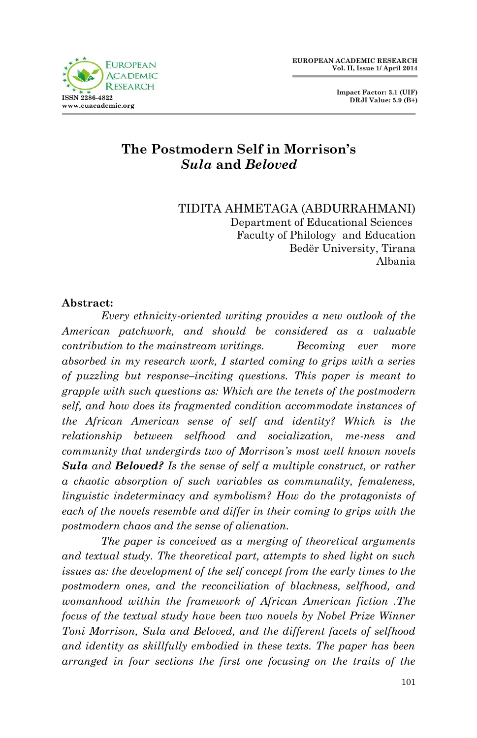**Impact Factor: 3.1 (UIF) DRJI Value: 5.9 (B+)**

# **The Postmodern Self in Morrison's** *Sula* **and** *Beloved*

#### TIDITA AHMETAGA (ABDURRAHMANI) Department of Educational Sciences Faculty of Philology and Education Bedër University, Tirana Albania

### **Abstract:**

*Every ethnicity-oriented writing provides a new outlook of the American patchwork, and should be considered as a valuable contribution to the mainstream writings. Becoming ever more absorbed in my research work, I started coming to grips with a series of puzzling but response–inciting questions. This paper is meant to grapple with such questions as: Which are the tenets of the postmodern self, and how does its fragmented condition accommodate instances of the African American sense of self and identity? Which is the relationship between selfhood and socialization, me-ness and community that undergirds two of Morrison's most well known novels Sula and Beloved? Is the sense of self a multiple construct, or rather a chaotic absorption of such variables as communality, femaleness, linguistic indeterminacy and symbolism? How do the protagonists of each of the novels resemble and differ in their coming to grips with the postmodern chaos and the sense of alienation.*

*The paper is conceived as a merging of theoretical arguments and textual study. The theoretical part, attempts to shed light on such issues as: the development of the self concept from the early times to the postmodern ones, and the reconciliation of blackness, selfhood, and womanhood within the framework of African American fiction .The focus of the textual study have been two novels by Nobel Prize Winner Toni Morrison, Sula and Beloved, and the different facets of selfhood and identity as skillfully embodied in these texts. The paper has been arranged in four sections the first one focusing on the traits of the*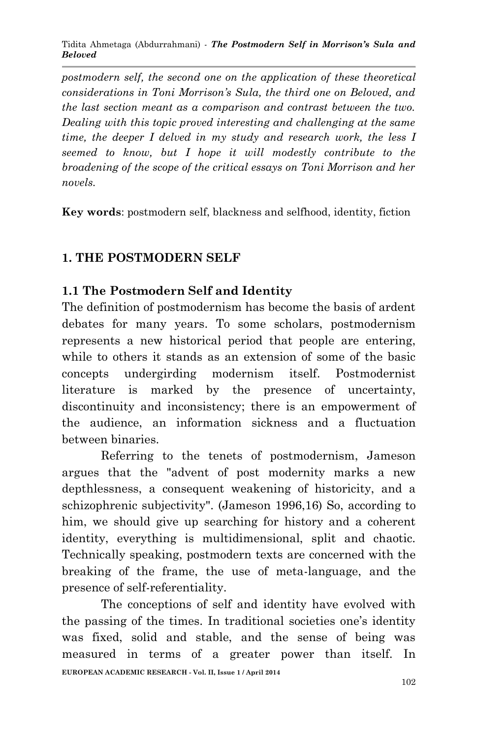*postmodern self, the second one on the application of these theoretical considerations in Toni Morrison's Sula, the third one on Beloved, and the last section meant as a comparison and contrast between the two. Dealing with this topic proved interesting and challenging at the same time, the deeper I delved in my study and research work, the less I seemed to know, but I hope it will modestly contribute to the broadening of the scope of the critical essays on Toni Morrison and her novels.*

**Key words**: postmodern self, blackness and selfhood, identity, fiction

# **1. THE POSTMODERN SELF**

## **1.1 The Postmodern Self and Identity**

The definition of postmodernism has become the basis of ardent debates for many years. To some scholars, postmodernism represents a new historical period that people are entering, while to others it stands as an extension of some of the basic concepts undergirding modernism itself. Postmodernist literature is marked by the presence of uncertainty, discontinuity and inconsistency; there is an empowerment of the audience, an information sickness and a fluctuation between binaries.

Referring to the tenets of postmodernism, Jameson argues that the "advent of post modernity marks a new depthlessness, a consequent weakening of historicity, and a schizophrenic subjectivity". (Jameson 1996,16) So, according to him, we should give up searching for history and a coherent identity, everything is multidimensional, split and chaotic. Technically speaking, postmodern texts are concerned with the breaking of the frame, the use of meta-language, and the presence of self-referentiality.

**EUROPEAN ACADEMIC RESEARCH - Vol. II, Issue 1 / April 2014** The conceptions of self and identity have evolved with the passing of the times. In traditional societies one's identity was fixed, solid and stable, and the sense of being was measured in terms of a greater power than itself. In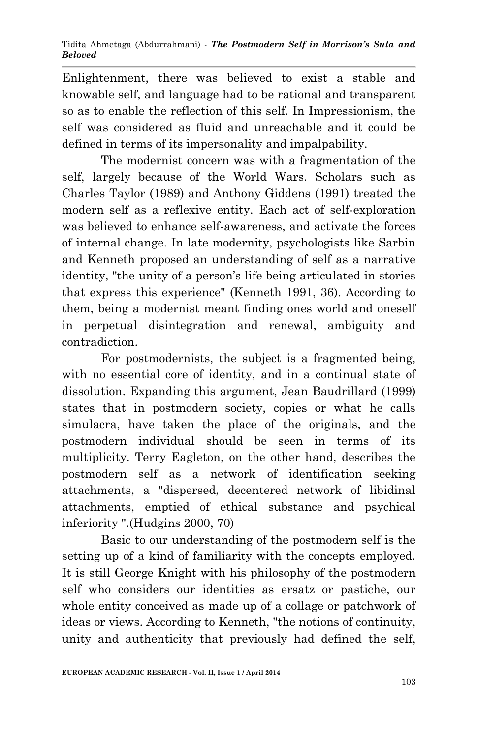Enlightenment, there was believed to exist a stable and knowable self, and language had to be rational and transparent so as to enable the reflection of this self. In Impressionism, the self was considered as fluid and unreachable and it could be defined in terms of its impersonality and impalpability.

The modernist concern was with a fragmentation of the self, largely because of the World Wars. Scholars such as Charles Taylor (1989) and Anthony Giddens (1991) treated the modern self as a reflexive entity. Each act of self-exploration was believed to enhance self-awareness, and activate the forces of internal change. In late modernity, psychologists like Sarbin and Kenneth proposed an understanding of self as a narrative identity, "the unity of a person's life being articulated in stories that express this experience" (Kenneth 1991, 36). According to them, being a modernist meant finding ones world and oneself in perpetual disintegration and renewal, ambiguity and contradiction.

For postmodernists, the subject is a fragmented being, with no essential core of identity, and in a continual state of dissolution. Expanding this argument, Jean Baudrillard (1999) states that in postmodern society, copies or what he calls simulacra, have taken the place of the originals, and the postmodern individual should be seen in terms of its multiplicity. Terry Eagleton, on the other hand, describes the postmodern self as a network of identification seeking attachments, a "dispersed, decentered network of libidinal attachments, emptied of ethical substance and psychical inferiority ".(Hudgins 2000, 70)

Basic to our understanding of the postmodern self is the setting up of a kind of familiarity with the concepts employed. It is still George Knight with his philosophy of the postmodern self who considers our identities as ersatz or pastiche, our whole entity conceived as made up of a collage or patchwork of ideas or views. According to Kenneth, "the notions of continuity, unity and authenticity that previously had defined the self,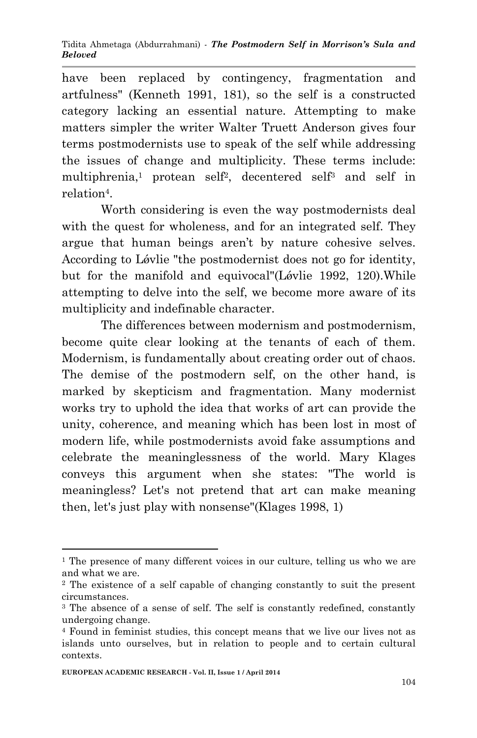have been replaced by contingency, fragmentation and artfulness" (Kenneth 1991, 181), so the self is a constructed category lacking an essential nature. Attempting to make matters simpler the writer Walter Truett Anderson gives four terms postmodernists use to speak of the self while addressing the issues of change and multiplicity. These terms include: multiphrenia,<sup>1</sup> protean self<sup>2</sup>, decentered self<sup>3</sup> and self in relation<sup>4</sup>.

Worth considering is even the way postmodernists deal with the quest for wholeness, and for an integrated self. They argue that human beings aren't by nature cohesive selves. According to Lǿvlie "the postmodernist does not go for identity, but for the manifold and equivocal"(Løvlie 1992, 120). While attempting to delve into the self, we become more aware of its multiplicity and indefinable character.

The differences between modernism and postmodernism, become quite clear looking at the tenants of each of them. Modernism, is fundamentally about creating order out of chaos. The demise of the postmodern self, on the other hand, is marked by skepticism and fragmentation. Many modernist works try to uphold the idea that works of art can provide the unity, coherence, and meaning which has been lost in most of modern life, while postmodernists avoid fake assumptions and celebrate the meaninglessness of the world. Mary Klages conveys this argument when she states: "The world is meaningless? Let's not pretend that art can make meaning then, let's just play with nonsense"(Klages 1998, 1)

1

<sup>&</sup>lt;sup>1</sup> The presence of many different voices in our culture, telling us who we are and what we are.

<sup>2</sup> The existence of a self capable of changing constantly to suit the present circumstances.

<sup>&</sup>lt;sup>3</sup> The absence of a sense of self. The self is constantly redefined, constantly undergoing change.

<sup>4</sup> Found in feminist studies, this concept means that we live our lives not as islands unto ourselves, but in relation to people and to certain cultural contexts.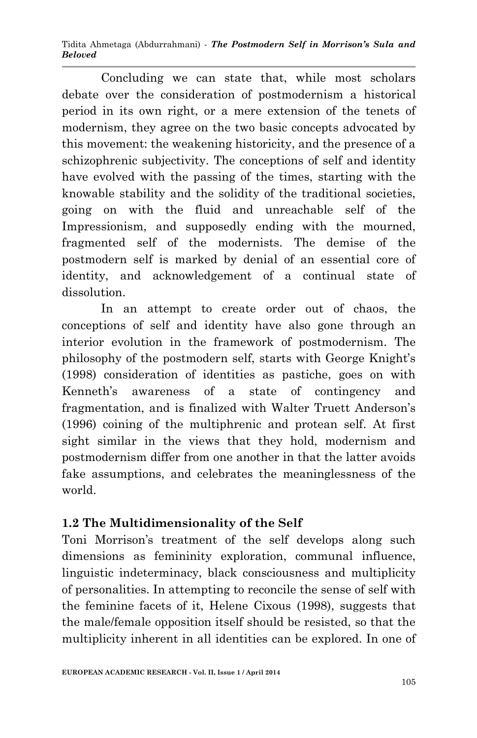Concluding we can state that, while most scholars debate over the consideration of postmodernism a historical period in its own right, or a mere extension of the tenets of modernism, they agree on the two basic concepts advocated by this movement: the weakening historicity, and the presence of a schizophrenic subjectivity. The conceptions of self and identity have evolved with the passing of the times, starting with the knowable stability and the solidity of the traditional societies, going on with the fluid and unreachable self of the Impressionism, and supposedly ending with the mourned, fragmented self of the modernists. The demise of the postmodern self is marked by denial of an essential core of identity, and acknowledgement of a continual state of dissolution.

In an attempt to create order out of chaos, the conceptions of self and identity have also gone through an interior evolution in the framework of postmodernism. The philosophy of the postmodern self, starts with George Knight's (1998) consideration of identities as pastiche, goes on with Kenneth's awareness of a state of contingency and fragmentation, and is finalized with Walter Truett Anderson's (1996) coining of the multiphrenic and protean self. At first sight similar in the views that they hold, modernism and postmodernism differ from one another in that the latter avoids fake assumptions, and celebrates the meaninglessness of the world.

# **1.2 The Multidimensionality of the Self**

Toni Morrison's treatment of the self develops along such dimensions as femininity exploration, communal influence, linguistic indeterminacy, black consciousness and multiplicity of personalities. In attempting to reconcile the sense of self with the feminine facets of it, Helene Cixous (1998), suggests that the male/female opposition itself should be resisted, so that the multiplicity inherent in all identities can be explored. In one of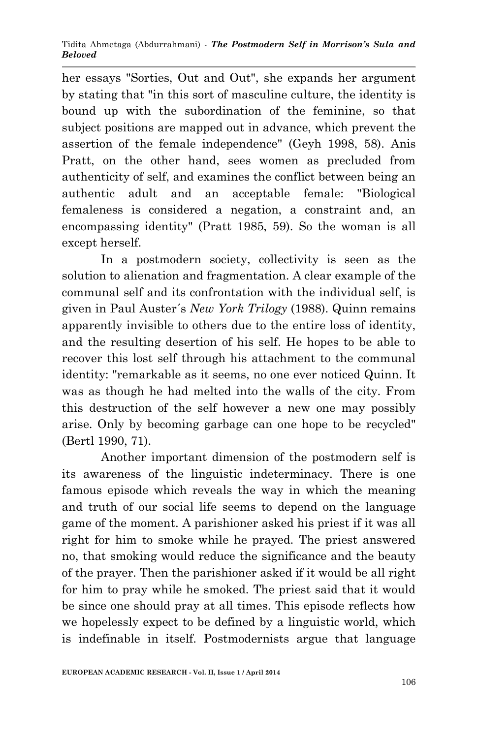her essays "Sorties, Out and Out", she expands her argument by stating that "in this sort of masculine culture, the identity is bound up with the subordination of the feminine, so that subject positions are mapped out in advance, which prevent the assertion of the female independence" (Geyh 1998, 58). Anis Pratt, on the other hand, sees women as precluded from authenticity of self, and examines the conflict between being an authentic adult and an acceptable female: "Biological femaleness is considered a negation, a constraint and, an encompassing identity" (Pratt 1985, 59). So the woman is all except herself.

In a postmodern society, collectivity is seen as the solution to alienation and fragmentation. A clear example of the communal self and its confrontation with the individual self, is given in Paul Auster´s *New York Trilogy* (1988). Quinn remains apparently invisible to others due to the entire loss of identity, and the resulting desertion of his self. He hopes to be able to recover this lost self through his attachment to the communal identity: "remarkable as it seems, no one ever noticed Quinn. It was as though he had melted into the walls of the city. From this destruction of the self however a new one may possibly arise. Only by becoming garbage can one hope to be recycled" (Bertl 1990, 71).

Another important dimension of the postmodern self is its awareness of the linguistic indeterminacy. There is one famous episode which reveals the way in which the meaning and truth of our social life seems to depend on the language game of the moment. A parishioner asked his priest if it was all right for him to smoke while he prayed. The priest answered no, that smoking would reduce the significance and the beauty of the prayer. Then the parishioner asked if it would be all right for him to pray while he smoked. The priest said that it would be since one should pray at all times. This episode reflects how we hopelessly expect to be defined by a linguistic world, which is indefinable in itself. Postmodernists argue that language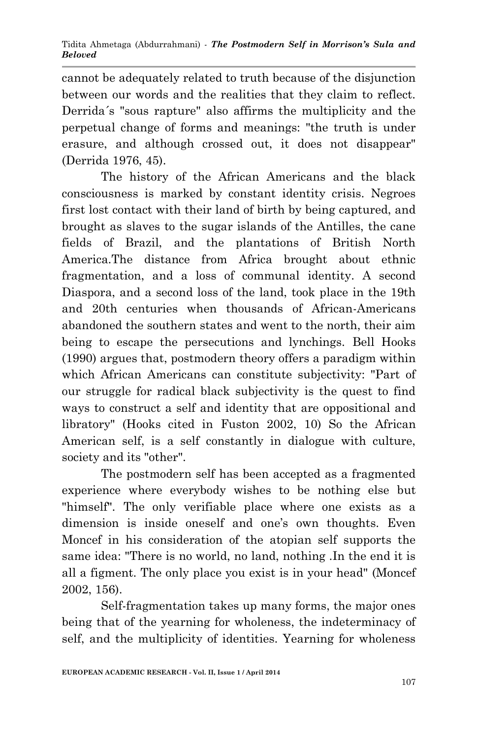cannot be adequately related to truth because of the disjunction between our words and the realities that they claim to reflect. Derrida´s "sous rapture" also affirms the multiplicity and the perpetual change of forms and meanings: "the truth is under erasure, and although crossed out, it does not disappear" (Derrida 1976, 45).

The history of the African Americans and the black consciousness is marked by constant identity crisis. Negroes first lost contact with their land of birth by being captured, and brought as slaves to the sugar islands of the Antilles, the cane fields of Brazil, and the plantations of British North America.The distance from Africa brought about ethnic fragmentation, and a loss of communal identity. A second Diaspora, and a second loss of the land, took place in the 19th and 20th centuries when thousands of African-Americans abandoned the southern states and went to the north, their aim being to escape the persecutions and lynchings. Bell Hooks (1990) argues that, postmodern theory offers a paradigm within which African Americans can constitute subjectivity: "Part of our struggle for radical black subjectivity is the quest to find ways to construct a self and identity that are oppositional and libratory" (Hooks cited in Fuston 2002, 10) So the African American self, is a self constantly in dialogue with culture, society and its "other".

The postmodern self has been accepted as a fragmented experience where everybody wishes to be nothing else but "himself". The only verifiable place where one exists as a dimension is inside oneself and one's own thoughts. Even Moncef in his consideration of the atopian self supports the same idea: "There is no world, no land, nothing .In the end it is all a figment. The only place you exist is in your head" (Moncef 2002, 156).

Self-fragmentation takes up many forms, the major ones being that of the yearning for wholeness, the indeterminacy of self, and the multiplicity of identities. Yearning for wholeness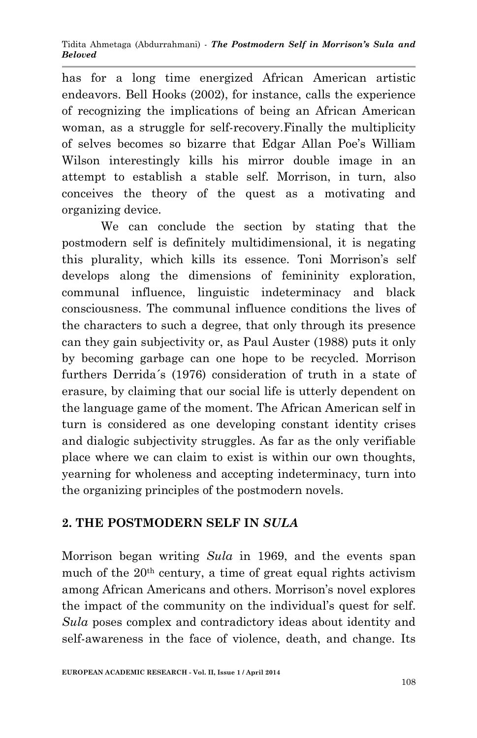has for a long time energized African American artistic endeavors. Bell Hooks (2002), for instance, calls the experience of recognizing the implications of being an African American woman, as a struggle for self-recovery.Finally the multiplicity of selves becomes so bizarre that Edgar Allan Poe's William Wilson interestingly kills his mirror double image in an attempt to establish a stable self. Morrison, in turn, also conceives the theory of the quest as a motivating and organizing device.

We can conclude the section by stating that the postmodern self is definitely multidimensional, it is negating this plurality, which kills its essence. Toni Morrison's self develops along the dimensions of femininity exploration, communal influence, linguistic indeterminacy and black consciousness. The communal influence conditions the lives of the characters to such a degree, that only through its presence can they gain subjectivity or, as Paul Auster (1988) puts it only by becoming garbage can one hope to be recycled. Morrison furthers Derrida´s (1976) consideration of truth in a state of erasure, by claiming that our social life is utterly dependent on the language game of the moment. The African American self in turn is considered as one developing constant identity crises and dialogic subjectivity struggles. As far as the only verifiable place where we can claim to exist is within our own thoughts, yearning for wholeness and accepting indeterminacy, turn into the organizing principles of the postmodern novels.

## **2. THE POSTMODERN SELF IN** *SULA*

Morrison began writing *Sula* in 1969, and the events span much of the 20<sup>th</sup> century, a time of great equal rights activism among African Americans and others. Morrison's novel explores the impact of the community on the individual's quest for self. *Sula* poses complex and contradictory ideas about identity and self-awareness in the face of violence, death, and change. Its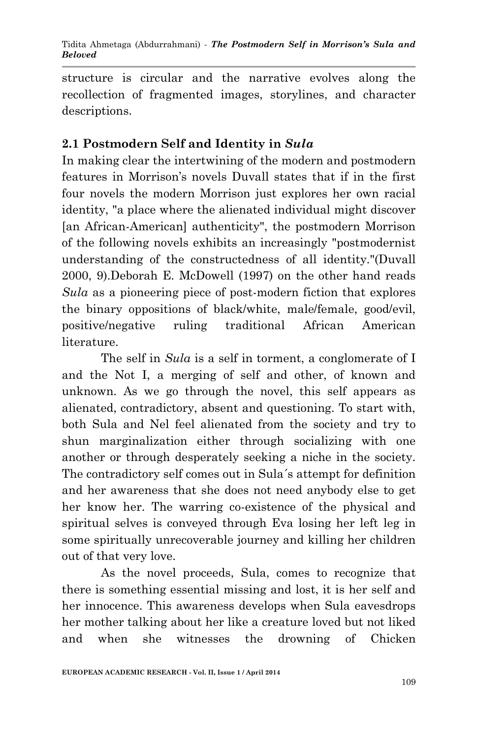structure is circular and the narrative evolves along the recollection of fragmented images, storylines, and character descriptions.

## **2.1 Postmodern Self and Identity in** *Sula*

In making clear the intertwining of the modern and postmodern features in Morrison's novels Duvall states that if in the first four novels the modern Morrison just explores her own racial identity, "a place where the alienated individual might discover [an African-American] authenticity", the postmodern Morrison of the following novels exhibits an increasingly "postmodernist understanding of the constructedness of all identity."(Duvall 2000, 9).Deborah E. McDowell (1997) on the other hand reads *Sula* as a pioneering piece of post-modern fiction that explores the binary oppositions of black/white, male/female, good/evil, positive/negative ruling traditional African American literature.

The self in *Sula* is a self in torment, a conglomerate of I and the Not I, a merging of self and other, of known and unknown. As we go through the novel, this self appears as alienated, contradictory, absent and questioning. To start with, both Sula and Nel feel alienated from the society and try to shun marginalization either through socializing with one another or through desperately seeking a niche in the society. The contradictory self comes out in Sula´s attempt for definition and her awareness that she does not need anybody else to get her know her. The warring co-existence of the physical and spiritual selves is conveyed through Eva losing her left leg in some spiritually unrecoverable journey and killing her children out of that very love.

As the novel proceeds, Sula, comes to recognize that there is something essential missing and lost, it is her self and her innocence. This awareness develops when Sula eavesdrops her mother talking about her like a creature loved but not liked and when she witnesses the drowning of Chicken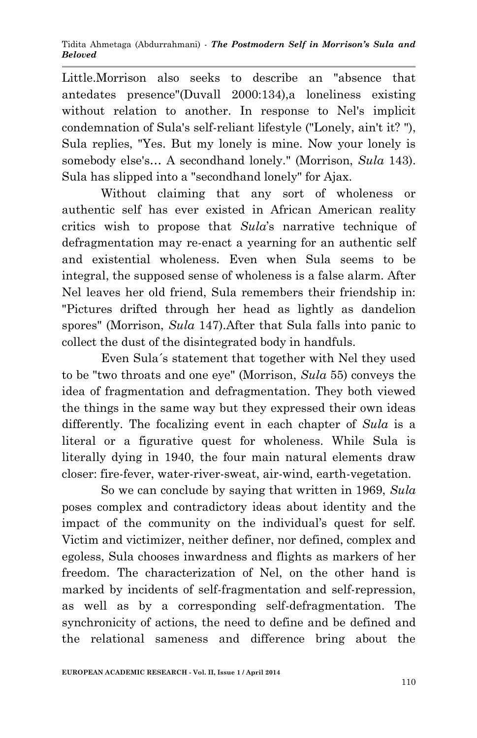Little.Morrison also seeks to describe an "absence that antedates presence"(Duvall 2000:134),a loneliness existing without relation to another. In response to Nel's implicit condemnation of Sula's self-reliant lifestyle ("Lonely, ain't it? "), Sula replies, "Yes. But my lonely is mine. Now your lonely is somebody else's… A secondhand lonely." (Morrison, *Sula* 143). Sula has slipped into a "secondhand lonely" for Ajax.

Without claiming that any sort of wholeness or authentic self has ever existed in African American reality critics wish to propose that *Sula*'s narrative technique of defragmentation may re-enact a yearning for an authentic self and existential wholeness. Even when Sula seems to be integral, the supposed sense of wholeness is a false alarm. After Nel leaves her old friend, Sula remembers their friendship in: "Pictures drifted through her head as lightly as dandelion spores" (Morrison, *Sula* 147).After that Sula falls into panic to collect the dust of the disintegrated body in handfuls.

Even Sula´s statement that together with Nel they used to be "two throats and one eye" (Morrison, *Sula* 55) conveys the idea of fragmentation and defragmentation. They both viewed the things in the same way but they expressed their own ideas differently. The focalizing event in each chapter of *Sula* is a literal or a figurative quest for wholeness. While Sula is literally dying in 1940, the four main natural elements draw closer: fire-fever, water-river-sweat, air-wind, earth-vegetation.

So we can conclude by saying that written in 1969, *Sula*  poses complex and contradictory ideas about identity and the impact of the community on the individual's quest for self. Victim and victimizer, neither definer, nor defined, complex and egoless, Sula chooses inwardness and flights as markers of her freedom. The characterization of Nel, on the other hand is marked by incidents of self-fragmentation and self-repression, as well as by a corresponding self-defragmentation. The synchronicity of actions, the need to define and be defined and the relational sameness and difference bring about the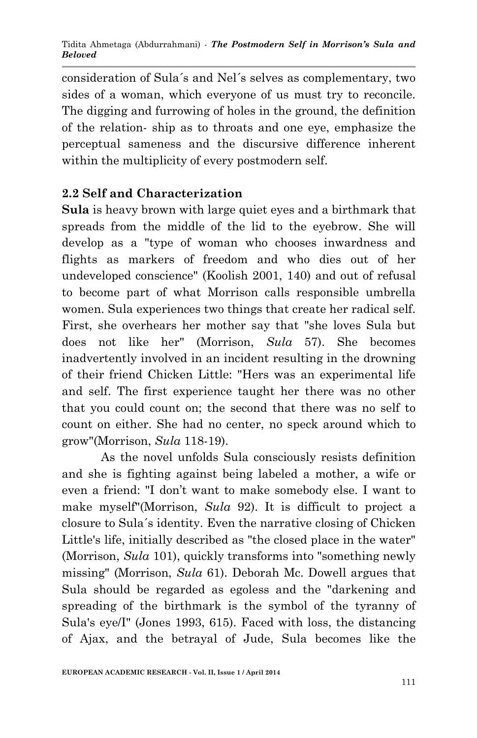consideration of Sula´s and Nel´s selves as complementary, two sides of a woman, which everyone of us must try to reconcile. The digging and furrowing of holes in the ground, the definition of the relation- ship as to throats and one eye, emphasize the perceptual sameness and the discursive difference inherent within the multiplicity of every postmodern self.

## **2.2 Self and Characterization**

**Sula** is heavy brown with large quiet eyes and a birthmark that spreads from the middle of the lid to the eyebrow. She will develop as a "type of woman who chooses inwardness and flights as markers of freedom and who dies out of her undeveloped conscience" (Koolish 2001, 140) and out of refusal to become part of what Morrison calls responsible umbrella women. Sula experiences two things that create her radical self. First, she overhears her mother say that "she loves Sula but does not like her" (Morrison, *Sula* 57). She becomes inadvertently involved in an incident resulting in the drowning of their friend Chicken Little: "Hers was an experimental life and self. The first experience taught her there was no other that you could count on; the second that there was no self to count on either. She had no center, no speck around which to grow"(Morrison, *Sula* 118-19).

As the novel unfolds Sula consciously resists definition and she is fighting against being labeled a mother, a wife or even a friend: "I don't want to make somebody else. I want to make myself"(Morrison, *Sula* 92). It is difficult to project a closure to Sula´s identity. Even the narrative closing of Chicken Little's life, initially described as "the closed place in the water" (Morrison, *Sula* 101), quickly transforms into "something newly missing" (Morrison, *Sula* 61). Deborah Mc. Dowell argues that Sula should be regarded as egoless and the "darkening and spreading of the birthmark is the symbol of the tyranny of Sula's eye/I" (Jones 1993, 615). Faced with loss, the distancing of Ajax, and the betrayal of Jude, Sula becomes like the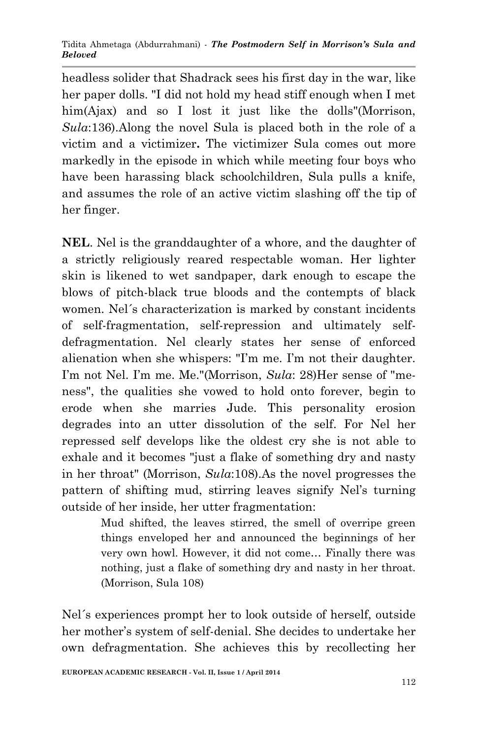headless solider that Shadrack sees his first day in the war, like her paper dolls. "I did not hold my head stiff enough when I met him(Ajax) and so I lost it just like the dolls"(Morrison, *Sula*:136).Along the novel Sula is placed both in the role of a victim and a victimizer**.** The victimizer Sula comes out more markedly in the episode in which while meeting four boys who have been harassing black schoolchildren, Sula pulls a knife, and assumes the role of an active victim slashing off the tip of her finger.

**NEL**. Nel is the granddaughter of a whore, and the daughter of a strictly religiously reared respectable woman. Her lighter skin is likened to wet sandpaper, dark enough to escape the blows of pitch-black true bloods and the contempts of black women. Nel´s characterization is marked by constant incidents of self-fragmentation, self-repression and ultimately selfdefragmentation. Nel clearly states her sense of enforced alienation when she whispers: "I'm me. I'm not their daughter. I'm not Nel. I'm me. Me."(Morrison, *Sula*: 28)Her sense of "meness", the qualities she vowed to hold onto forever, begin to erode when she marries Jude. This personality erosion degrades into an utter dissolution of the self. For Nel her repressed self develops like the oldest cry she is not able to exhale and it becomes "just a flake of something dry and nasty in her throat" (Morrison, *Sula*:108).As the novel progresses the pattern of shifting mud, stirring leaves signify Nel's turning outside of her inside, her utter fragmentation:

> Mud shifted, the leaves stirred, the smell of overripe green things enveloped her and announced the beginnings of her very own howl. However, it did not come… Finally there was nothing, just a flake of something dry and nasty in her throat. (Morrison, Sula 108)

Nel´s experiences prompt her to look outside of herself, outside her mother's system of self-denial. She decides to undertake her own defragmentation. She achieves this by recollecting her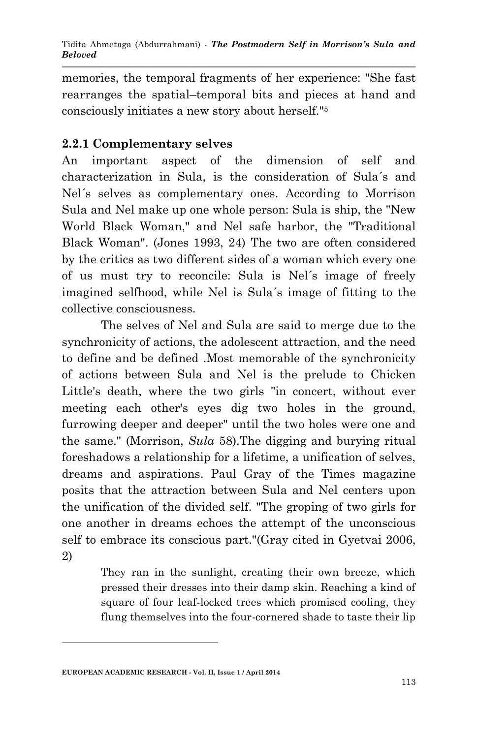memories, the temporal fragments of her experience: "She fast rearranges the spatial–temporal bits and pieces at hand and consciously initiates a new story about herself."<sup>5</sup>

## **2.2.1 Complementary selves**

An important aspect of the dimension of self and characterization in Sula, is the consideration of Sula´s and Nel´s selves as complementary ones. According to Morrison Sula and Nel make up one whole person: Sula is ship, the "New World Black Woman," and Nel safe harbor, the "Traditional Black Woman". (Jones 1993, 24) The two are often considered by the critics as two different sides of a woman which every one of us must try to reconcile: Sula is Nel´s image of freely imagined selfhood, while Nel is Sula´s image of fitting to the collective consciousness.

The selves of Nel and Sula are said to merge due to the synchronicity of actions, the adolescent attraction, and the need to define and be defined .Most memorable of the synchronicity of actions between Sula and Nel is the prelude to Chicken Little's death, where the two girls "in concert, without ever meeting each other's eyes dig two holes in the ground, furrowing deeper and deeper" until the two holes were one and the same." (Morrison, *Sula* 58).The digging and burying ritual foreshadows a relationship for a lifetime, a unification of selves, dreams and aspirations. Paul Gray of the Times magazine posits that the attraction between Sula and Nel centers upon the unification of the divided self. "The groping of two girls for one another in dreams echoes the attempt of the unconscious self to embrace its conscious part."(Gray cited in Gyetvai 2006, 2)

> They ran in the sunlight, creating their own breeze, which pressed their dresses into their damp skin. Reaching a kind of square of four leaf-locked trees which promised cooling, they flung themselves into the four-cornered shade to taste their lip

**.** 

**EUROPEAN ACADEMIC RESEARCH - Vol. II, Issue 1 / April 2014**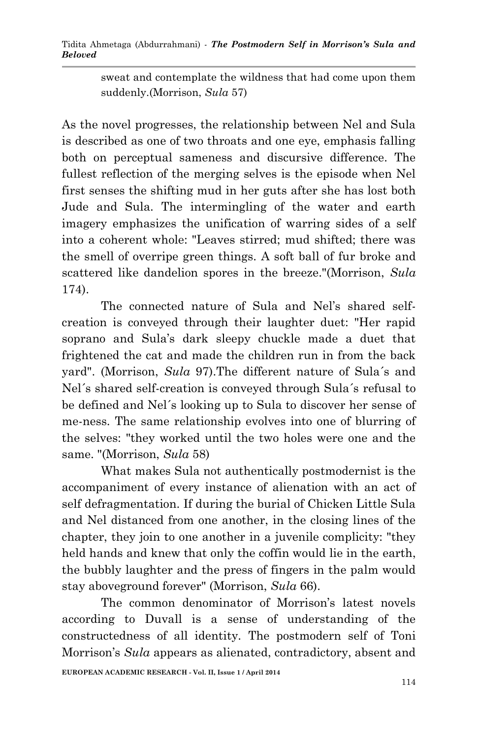sweat and contemplate the wildness that had come upon them suddenly.(Morrison, *Sula* 57)

As the novel progresses, the relationship between Nel and Sula is described as one of two throats and one eye, emphasis falling both on perceptual sameness and discursive difference. The fullest reflection of the merging selves is the episode when Nel first senses the shifting mud in her guts after she has lost both Jude and Sula. The intermingling of the water and earth imagery emphasizes the unification of warring sides of a self into a coherent whole: "Leaves stirred; mud shifted; there was the smell of overripe green things. A soft ball of fur broke and scattered like dandelion spores in the breeze."(Morrison, *Sula* 174).

The connected nature of Sula and Nel's shared selfcreation is conveyed through their laughter duet: "Her rapid soprano and Sula's dark sleepy chuckle made a duet that frightened the cat and made the children run in from the back yard". (Morrison, *Sula* 97).The different nature of Sula´s and Nel´s shared self-creation is conveyed through Sula´s refusal to be defined and Nel´s looking up to Sula to discover her sense of me-ness. The same relationship evolves into one of blurring of the selves: "they worked until the two holes were one and the same. "(Morrison, *Sula* 58)

What makes Sula not authentically postmodernist is the accompaniment of every instance of alienation with an act of self defragmentation. If during the burial of Chicken Little Sula and Nel distanced from one another, in the closing lines of the chapter, they join to one another in a juvenile complicity: "they held hands and knew that only the coffin would lie in the earth, the bubbly laughter and the press of fingers in the palm would stay aboveground forever" (Morrison, *Sula* 66).

The common denominator of Morrison's latest novels according to Duvall is a sense of understanding of the constructedness of all identity. The postmodern self of Toni Morrison's *Sula* appears as alienated, contradictory, absent and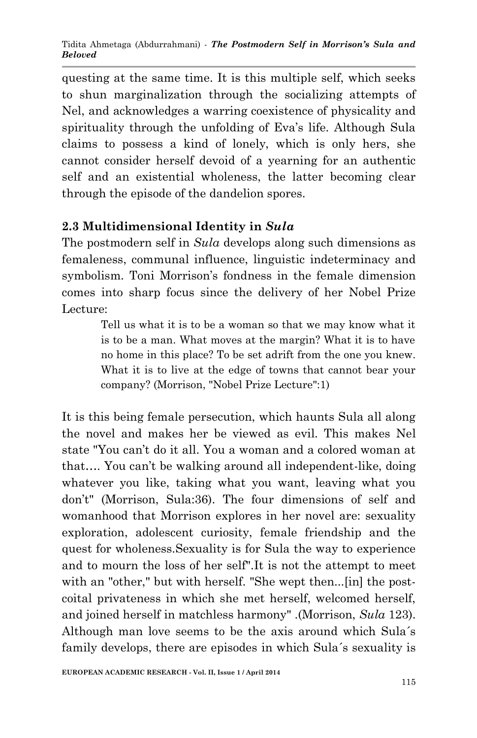questing at the same time. It is this multiple self, which seeks to shun marginalization through the socializing attempts of Nel, and acknowledges a warring coexistence of physicality and spirituality through the unfolding of Eva's life. Although Sula claims to possess a kind of lonely, which is only hers, she cannot consider herself devoid of a yearning for an authentic self and an existential wholeness, the latter becoming clear through the episode of the dandelion spores.

## **2.3 Multidimensional Identity in** *Sula*

The postmodern self in *Sula* develops along such dimensions as femaleness, communal influence, linguistic indeterminacy and symbolism. Toni Morrison's fondness in the female dimension comes into sharp focus since the delivery of her Nobel Prize Lecture:

> Tell us what it is to be a woman so that we may know what it is to be a man. What moves at the margin? What it is to have no home in this place? To be set adrift from the one you knew. What it is to live at the edge of towns that cannot bear your company? (Morrison, "Nobel Prize Lecture":1)

It is this being female persecution, which haunts Sula all along the novel and makes her be viewed as evil. This makes Nel state "You can't do it all. You a woman and a colored woman at that…. You can't be walking around all independent-like, doing whatever you like, taking what you want, leaving what you don't" (Morrison, Sula:36). The four dimensions of self and womanhood that Morrison explores in her novel are: sexuality exploration, adolescent curiosity, female friendship and the quest for wholeness.Sexuality is for Sula the way to experience and to mourn the loss of her self".It is not the attempt to meet with an "other," but with herself. "She wept then...[in] the postcoital privateness in which she met herself, welcomed herself, and joined herself in matchless harmony" .(Morrison, *Sula* 123). Although man love seems to be the axis around which Sula´s family develops, there are episodes in which Sula´s sexuality is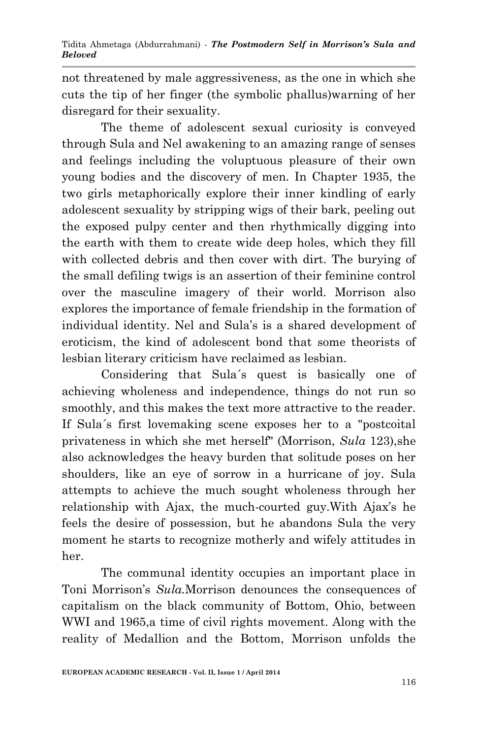not threatened by male aggressiveness, as the one in which she cuts the tip of her finger (the symbolic phallus)warning of her disregard for their sexuality.

The theme of adolescent sexual curiosity is conveyed through Sula and Nel awakening to an amazing range of senses and feelings including the voluptuous pleasure of their own young bodies and the discovery of men. In Chapter 1935, the two girls metaphorically explore their inner kindling of early adolescent sexuality by stripping wigs of their bark, peeling out the exposed pulpy center and then rhythmically digging into the earth with them to create wide deep holes, which they fill with collected debris and then cover with dirt. The burying of the small defiling twigs is an assertion of their feminine control over the masculine imagery of their world. Morrison also explores the importance of female friendship in the formation of individual identity. Nel and Sula's is a shared development of eroticism, the kind of adolescent bond that some theorists of lesbian literary criticism have reclaimed as lesbian.

Considering that Sula´s quest is basically one of achieving wholeness and independence, things do not run so smoothly, and this makes the text more attractive to the reader. If Sula´s first lovemaking scene exposes her to a "postcoital privateness in which she met herself" (Morrison, *Sula* 123),she also acknowledges the heavy burden that solitude poses on her shoulders, like an eye of sorrow in a hurricane of joy. Sula attempts to achieve the much sought wholeness through her relationship with Ajax, the much-courted guy.With Ajax's he feels the desire of possession, but he abandons Sula the very moment he starts to recognize motherly and wifely attitudes in her.

The communal identity occupies an important place in Toni Morrison's *Sula.*Morrison denounces the consequences of capitalism on the black community of Bottom, Ohio, between WWI and 1965,a time of civil rights movement. Along with the reality of Medallion and the Bottom, Morrison unfolds the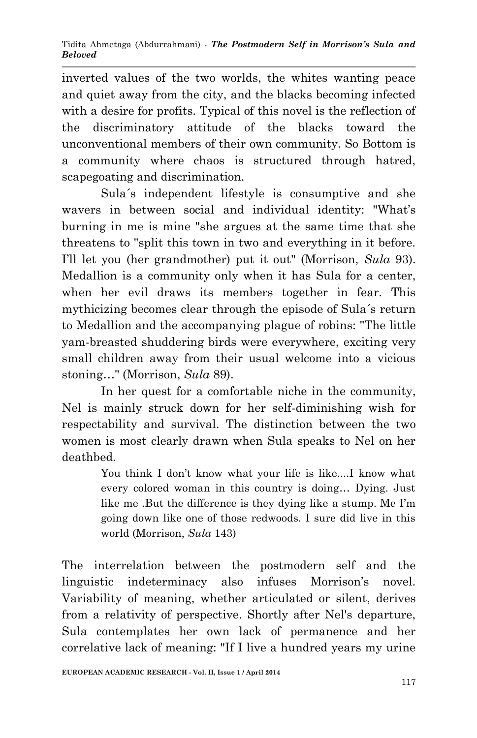inverted values of the two worlds, the whites wanting peace and quiet away from the city, and the blacks becoming infected with a desire for profits. Typical of this novel is the reflection of the discriminatory attitude of the blacks toward the unconventional members of their own community. So Bottom is a community where chaos is structured through hatred, scapegoating and discrimination.

Sula´s independent lifestyle is consumptive and she wavers in between social and individual identity: "What's burning in me is mine "she argues at the same time that she threatens to "split this town in two and everything in it before. I'll let you (her grandmother) put it out" (Morrison, *Sula* 93). Medallion is a community only when it has Sula for a center, when her evil draws its members together in fear. This mythicizing becomes clear through the episode of Sula´s return to Medallion and the accompanying plague of robins: "The little yam-breasted shuddering birds were everywhere, exciting very small children away from their usual welcome into a vicious stoning…" (Morrison, *Sula* 89).

In her quest for a comfortable niche in the community, Nel is mainly struck down for her self-diminishing wish for respectability and survival. The distinction between the two women is most clearly drawn when Sula speaks to Nel on her deathbed.

> You think I don't know what your life is like....I know what every colored woman in this country is doing… Dying. Just like me .But the difference is they dying like a stump. Me I'm going down like one of those redwoods. I sure did live in this world (Morrison, *Sula* 143)

The interrelation between the postmodern self and the linguistic indeterminacy also infuses Morrison's novel. Variability of meaning, whether articulated or silent, derives from a relativity of perspective. Shortly after Nel's departure, Sula contemplates her own lack of permanence and her correlative lack of meaning: "If I live a hundred years my urine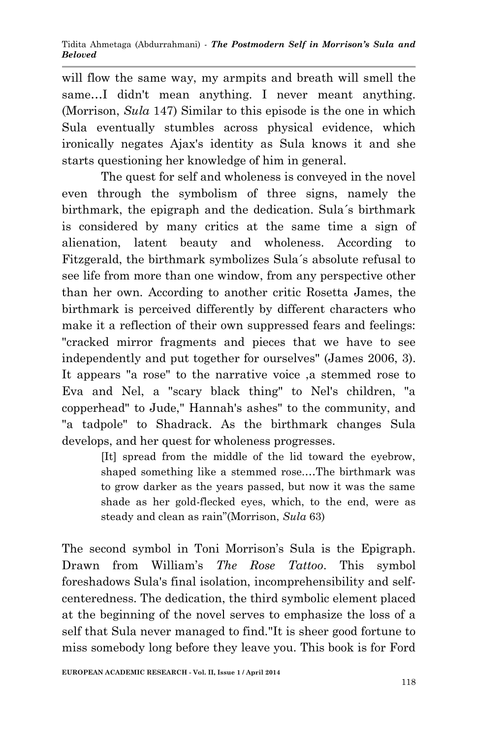will flow the same way, my armpits and breath will smell the same…I didn't mean anything. I never meant anything. (Morrison, *Sula* 147) Similar to this episode is the one in which Sula eventually stumbles across physical evidence, which ironically negates Ajax's identity as Sula knows it and she starts questioning her knowledge of him in general.

The quest for self and wholeness is conveyed in the novel even through the symbolism of three signs, namely the birthmark, the epigraph and the dedication. Sula´s birthmark is considered by many critics at the same time a sign of alienation, latent beauty and wholeness. According to Fitzgerald, the birthmark symbolizes Sula´s absolute refusal to see life from more than one window, from any perspective other than her own. According to another critic Rosetta James, the birthmark is perceived differently by different characters who make it a reflection of their own suppressed fears and feelings: "cracked mirror fragments and pieces that we have to see independently and put together for ourselves" (James 2006, 3). It appears "a rose" to the narrative voice ,a stemmed rose to Eva and Nel, a "scary black thing" to Nel's children, "a copperhead" to Jude," Hannah's ashes" to the community, and "a tadpole" to Shadrack. As the birthmark changes Sula develops, and her quest for wholeness progresses.

> [It] spread from the middle of the lid toward the eyebrow, shaped something like a stemmed rose.…The birthmark was to grow darker as the years passed, but now it was the same shade as her gold-flecked eyes, which, to the end, were as steady and clean as rain"(Morrison, *Sula* 63)

The second symbol in Toni Morrison's Sula is the Epigraph. Drawn from William's *The Rose Tattoo*. This symbol foreshadows Sula's final isolation, incomprehensibility and selfcenteredness. The dedication, the third symbolic element placed at the beginning of the novel serves to emphasize the loss of a self that Sula never managed to find."It is sheer good fortune to miss somebody long before they leave you. This book is for Ford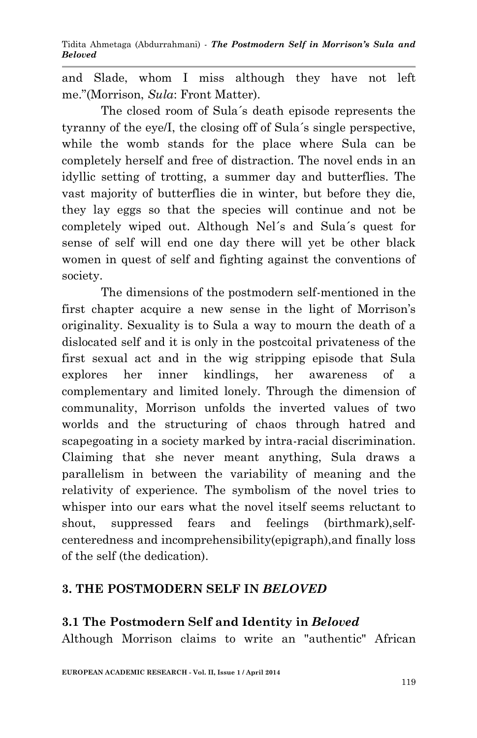and Slade, whom I miss although they have not left me."(Morrison, *Sula*: Front Matter).

The closed room of Sula´s death episode represents the tyranny of the eye/I, the closing off of Sula´s single perspective, while the womb stands for the place where Sula can be completely herself and free of distraction. The novel ends in an idyllic setting of trotting, a summer day and butterflies. The vast majority of butterflies die in winter, but before they die, they lay eggs so that the species will continue and not be completely wiped out. Although Nel´s and Sula´s quest for sense of self will end one day there will yet be other black women in quest of self and fighting against the conventions of society.

The dimensions of the postmodern self-mentioned in the first chapter acquire a new sense in the light of Morrison's originality. Sexuality is to Sula a way to mourn the death of a dislocated self and it is only in the postcoital privateness of the first sexual act and in the wig stripping episode that Sula explores her inner kindlings, her awareness of a complementary and limited lonely. Through the dimension of communality, Morrison unfolds the inverted values of two worlds and the structuring of chaos through hatred and scapegoating in a society marked by intra-racial discrimination. Claiming that she never meant anything, Sula draws a parallelism in between the variability of meaning and the relativity of experience. The symbolism of the novel tries to whisper into our ears what the novel itself seems reluctant to shout, suppressed fears and feelings (birthmark),selfcenteredness and incomprehensibility(epigraph),and finally loss of the self (the dedication).

## **3. THE POSTMODERN SELF IN** *BELOVED*

### **3.1 The Postmodern Self and Identity in** *Beloved*

Although Morrison claims to write an "authentic" African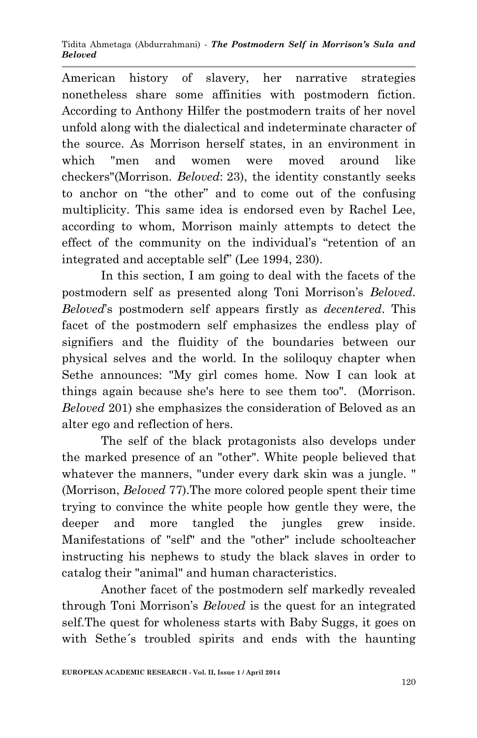#### Tidita Ahmetaga (Abdurrahmani) *- The Postmodern Self in Morrison's Sula and Beloved*

American history of slavery, her narrative strategies nonetheless share some affinities with postmodern fiction. According to Anthony Hilfer the postmodern traits of her novel unfold along with the dialectical and indeterminate character of the source. As Morrison herself states, in an environment in which "men and women were moved around like checkers"(Morrison. *Beloved*: 23), the identity constantly seeks to anchor on "the other" and to come out of the confusing multiplicity. This same idea is endorsed even by Rachel Lee, according to whom, Morrison mainly attempts to detect the effect of the community on the individual's "retention of an integrated and acceptable self" (Lee 1994, 230).

In this section, I am going to deal with the facets of the postmodern self as presented along Toni Morrison's *Beloved. Beloved*'s postmodern self appears firstly as *decentered*. This facet of the postmodern self emphasizes the endless play of signifiers and the fluidity of the boundaries between our physical selves and the world. In the soliloquy chapter when Sethe announces: "My girl comes home. Now I can look at things again because she's here to see them too". (Morrison. *Beloved* 201) she emphasizes the consideration of Beloved as an alter ego and reflection of hers.

The self of the black protagonists also develops under the marked presence of an "other". White people believed that whatever the manners, "under every dark skin was a jungle. " (Morrison, *Beloved* 77).The more colored people spent their time trying to convince the white people how gentle they were, the deeper and more tangled the jungles grew inside. Manifestations of "self" and the "other" include schoolteacher instructing his nephews to study the black slaves in order to catalog their "animal" and human characteristics.

Another facet of the postmodern self markedly revealed through Toni Morrison's *Beloved* is the quest for an integrated self.The quest for wholeness starts with Baby Suggs, it goes on with Sethe´s troubled spirits and ends with the haunting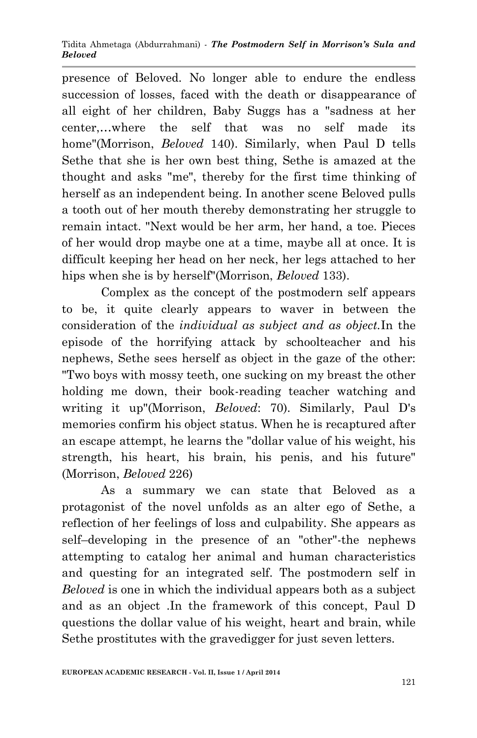#### Tidita Ahmetaga (Abdurrahmani) *- The Postmodern Self in Morrison's Sula and Beloved*

presence of Beloved. No longer able to endure the endless succession of losses, faced with the death or disappearance of all eight of her children, Baby Suggs has a "sadness at her center,…where the self that was no self made its home"(Morrison, *Beloved* 140). Similarly, when Paul D tells Sethe that she is her own best thing, Sethe is amazed at the thought and asks "me", thereby for the first time thinking of herself as an independent being. In another scene Beloved pulls a tooth out of her mouth thereby demonstrating her struggle to remain intact. "Next would be her arm, her hand, a toe. Pieces of her would drop maybe one at a time, maybe all at once. It is difficult keeping her head on her neck, her legs attached to her hips when she is by herself"(Morrison, *Beloved* 133).

Complex as the concept of the postmodern self appears to be, it quite clearly appears to waver in between the consideration of the *individual as subject and as object.*In the episode of the horrifying attack by schoolteacher and his nephews, Sethe sees herself as object in the gaze of the other: "Two boys with mossy teeth, one sucking on my breast the other holding me down, their book-reading teacher watching and writing it up"(Morrison, *Beloved*: 70). Similarly, Paul D's memories confirm his object status. When he is recaptured after an escape attempt, he learns the "dollar value of his weight, his strength, his heart, his brain, his penis, and his future" (Morrison, *Beloved* 226)

As a summary we can state that Beloved as a protagonist of the novel unfolds as an alter ego of Sethe, a reflection of her feelings of loss and culpability. She appears as self–developing in the presence of an "other"-the nephews attempting to catalog her animal and human characteristics and questing for an integrated self. The postmodern self in *Beloved* is one in which the individual appears both as a subject and as an object .In the framework of this concept, Paul D questions the dollar value of his weight, heart and brain, while Sethe prostitutes with the gravedigger for just seven letters.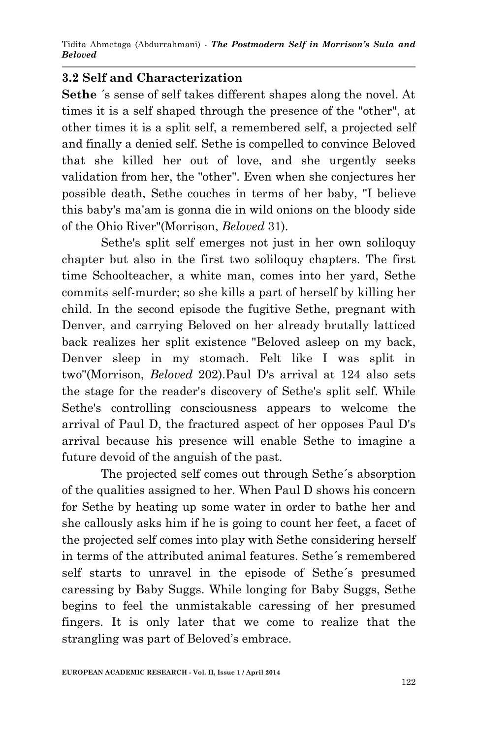### **3.2 Self and Characterization**

**Sethe** ´s sense of self takes different shapes along the novel. At times it is a self shaped through the presence of the "other", at other times it is a split self, a remembered self, a projected self and finally a denied self. Sethe is compelled to convince Beloved that she killed her out of love, and she urgently seeks validation from her, the "other". Even when she conjectures her possible death, Sethe couches in terms of her baby, "I believe this baby's ma'am is gonna die in wild onions on the bloody side of the Ohio River"(Morrison, *Beloved* 31).

Sethe's split self emerges not just in her own soliloquy chapter but also in the first two soliloquy chapters. The first time Schoolteacher, a white man, comes into her yard, Sethe commits self-murder; so she kills a part of herself by killing her child. In the second episode the fugitive Sethe, pregnant with Denver, and carrying Beloved on her already brutally latticed back realizes her split existence "Beloved asleep on my back, Denver sleep in my stomach. Felt like I was split in two"(Morrison, *Beloved* 202).Paul D's arrival at 124 also sets the stage for the reader's discovery of Sethe's split self. While Sethe's controlling consciousness appears to welcome the arrival of Paul D, the fractured aspect of her opposes Paul D's arrival because his presence will enable Sethe to imagine a future devoid of the anguish of the past.

The projected self comes out through Sethe´s absorption of the qualities assigned to her. When Paul D shows his concern for Sethe by heating up some water in order to bathe her and she callously asks him if he is going to count her feet, a facet of the projected self comes into play with Sethe considering herself in terms of the attributed animal features. Sethe´s remembered self starts to unravel in the episode of Sethe´s presumed caressing by Baby Suggs. While longing for Baby Suggs, Sethe begins to feel the unmistakable caressing of her presumed fingers. It is only later that we come to realize that the strangling was part of Beloved's embrace.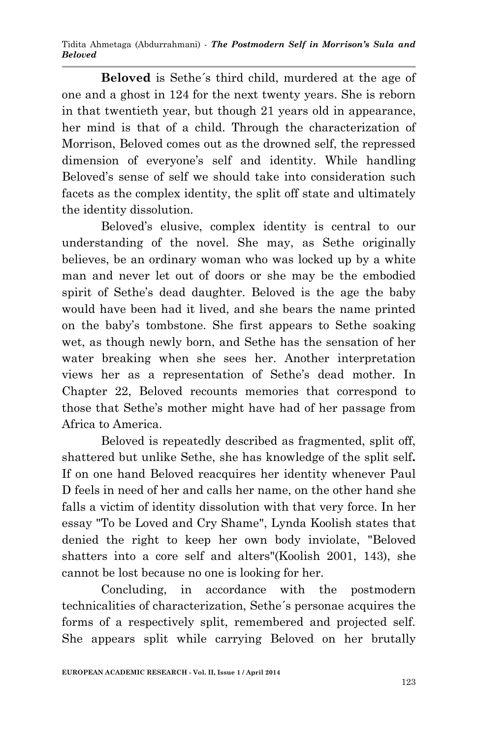**Beloved** is Sethe´s third child, murdered at the age of one and a ghost in 124 for the next twenty years. She is reborn in that twentieth year, but though 21 years old in appearance, her mind is that of a child. Through the characterization of Morrison, Beloved comes out as the drowned self, the repressed dimension of everyone's self and identity. While handling Beloved's sense of self we should take into consideration such facets as the complex identity, the split off state and ultimately the identity dissolution.

Beloved's elusive, complex identity is central to our understanding of the novel. She may, as Sethe originally believes, be an ordinary woman who was locked up by a white man and never let out of doors or she may be the embodied spirit of Sethe's dead daughter. Beloved is the age the baby would have been had it lived, and she bears the name printed on the baby's tombstone. She first appears to Sethe soaking wet, as though newly born, and Sethe has the sensation of her water breaking when she sees her. Another interpretation views her as a representation of Sethe's dead mother. In Chapter 22, Beloved recounts memories that correspond to those that Sethe's mother might have had of her passage from Africa to America.

Beloved is repeatedly described as fragmented, split off, shattered but unlike Sethe, she has knowledge of the split self*.*  If on one hand Beloved reacquires her identity whenever Paul D feels in need of her and calls her name, on the other hand she falls a victim of identity dissolution with that very force. In her essay "To be Loved and Cry Shame", Lynda Koolish states that denied the right to keep her own body inviolate, "Beloved shatters into a core self and alters"(Koolish 2001, 143), she cannot be lost because no one is looking for her.

Concluding, in accordance with the postmodern technicalities of characterization, Sethe´s personae acquires the forms of a respectively split, remembered and projected self. She appears split while carrying Beloved on her brutally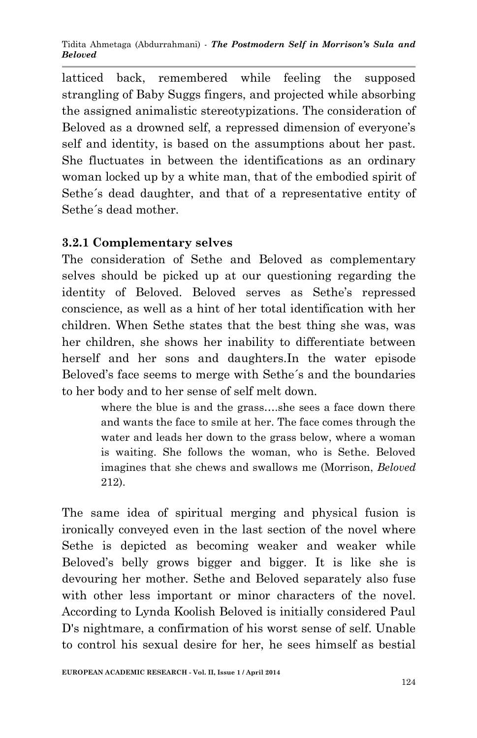latticed back, remembered while feeling the supposed strangling of Baby Suggs fingers, and projected while absorbing the assigned animalistic stereotypizations. The consideration of Beloved as a drowned self, a repressed dimension of everyone's self and identity, is based on the assumptions about her past. She fluctuates in between the identifications as an ordinary woman locked up by a white man, that of the embodied spirit of Sethe´s dead daughter, and that of a representative entity of Sethe´s dead mother.

## **3.2.1 Complementary selves**

The consideration of Sethe and Beloved as complementary selves should be picked up at our questioning regarding the identity of Beloved. Beloved serves as Sethe's repressed conscience, as well as a hint of her total identification with her children. When Sethe states that the best thing she was, was her children, she shows her inability to differentiate between herself and her sons and daughters.In the water episode Beloved's face seems to merge with Sethe´s and the boundaries to her body and to her sense of self melt down.

> where the blue is and the grass….she sees a face down there and wants the face to smile at her. The face comes through the water and leads her down to the grass below, where a woman is waiting. She follows the woman, who is Sethe. Beloved imagines that she chews and swallows me (Morrison, *Beloved* 212).

The same idea of spiritual merging and physical fusion is ironically conveyed even in the last section of the novel where Sethe is depicted as becoming weaker and weaker while Beloved's belly grows bigger and bigger. It is like she is devouring her mother. Sethe and Beloved separately also fuse with other less important or minor characters of the novel. According to Lynda Koolish Beloved is initially considered Paul D's nightmare, a confirmation of his worst sense of self. Unable to control his sexual desire for her, he sees himself as bestial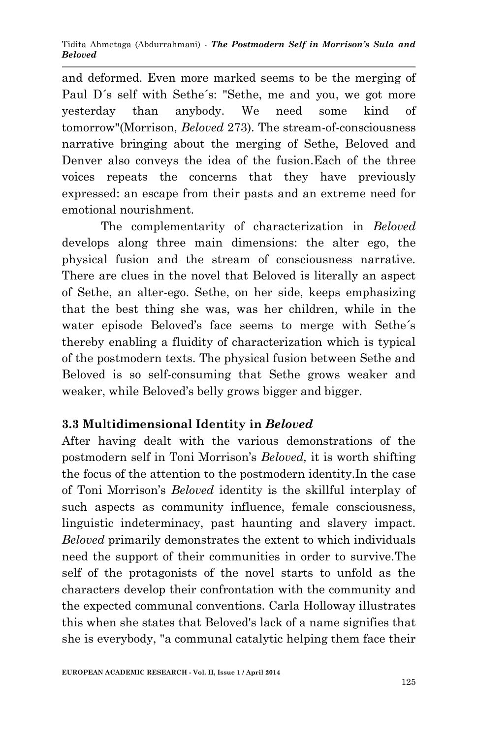and deformed. Even more marked seems to be the merging of Paul D´s self with Sethe´s: "Sethe, me and you, we got more yesterday than anybody. We need some kind of tomorrow"(Morrison, *Beloved* 273). The stream-of-consciousness narrative bringing about the merging of Sethe, Beloved and Denver also conveys the idea of the fusion.Each of the three voices repeats the concerns that they have previously expressed: an escape from their pasts and an extreme need for emotional nourishment.

The complementarity of characterization in *Beloved* develops along three main dimensions: the alter ego, the physical fusion and the stream of consciousness narrative. There are clues in the novel that Beloved is literally an aspect of Sethe, an alter-ego. Sethe, on her side, keeps emphasizing that the best thing she was, was her children, while in the water episode Beloved's face seems to merge with Sethe´s thereby enabling a fluidity of characterization which is typical of the postmodern texts. The physical fusion between Sethe and Beloved is so self-consuming that Sethe grows weaker and weaker, while Beloved's belly grows bigger and bigger.

## **3.3 Multidimensional Identity in** *Beloved*

After having dealt with the various demonstrations of the postmodern self in Toni Morrison's *Beloved,* it is worth shifting the focus of the attention to the postmodern identity.In the case of Toni Morrison's *Beloved* identity is the skillful interplay of such aspects as community influence, female consciousness, linguistic indeterminacy, past haunting and slavery impact. *Beloved* primarily demonstrates the extent to which individuals need the support of their communities in order to survive.The self of the protagonists of the novel starts to unfold as the characters develop their confrontation with the community and the expected communal conventions. Carla Holloway illustrates this when she states that Beloved's lack of a name signifies that she is everybody, "a communal catalytic helping them face their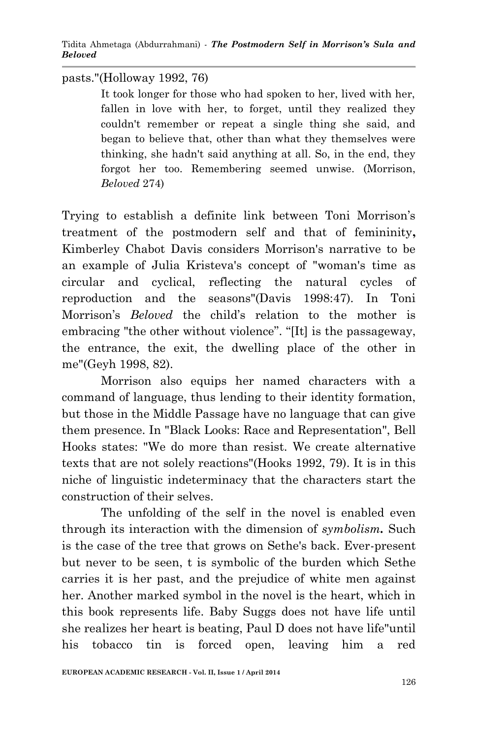pasts."(Holloway 1992, 76)

It took longer for those who had spoken to her, lived with her, fallen in love with her, to forget, until they realized they couldn't remember or repeat a single thing she said, and began to believe that, other than what they themselves were thinking, she hadn't said anything at all. So, in the end, they forgot her too. Remembering seemed unwise. (Morrison, *Beloved* 274)

Trying to establish a definite link between Toni Morrison's treatment of the postmodern self and that of femininity**,**  Kimberley Chabot Davis considers Morrison's narrative to be an example of Julia Kristeva's concept of "woman's time as circular and cyclical, reflecting the natural cycles of reproduction and the seasons"(Davis 1998:47). In Toni Morrison's *Beloved* the child's relation to the mother is embracing "the other without violence". "[It] is the passageway, the entrance, the exit, the dwelling place of the other in me"(Geyh 1998, 82).

Morrison also equips her named characters with a command of language, thus lending to their identity formation, but those in the Middle Passage have no language that can give them presence. In "Black Looks: Race and Representation", Bell Hooks states: "We do more than resist. We create alternative texts that are not solely reactions"(Hooks 1992, 79). It is in this niche of linguistic indeterminacy that the characters start the construction of their selves.

The unfolding of the self in the novel is enabled even through its interaction with the dimension of *symbolism.* Such is the case of the tree that grows on Sethe's back. Ever-present but never to be seen, t is symbolic of the burden which Sethe carries it is her past, and the prejudice of white men against her. Another marked symbol in the novel is the heart, which in this book represents life. Baby Suggs does not have life until she realizes her heart is beating, Paul D does not have life"until his tobacco tin is forced open, leaving him a red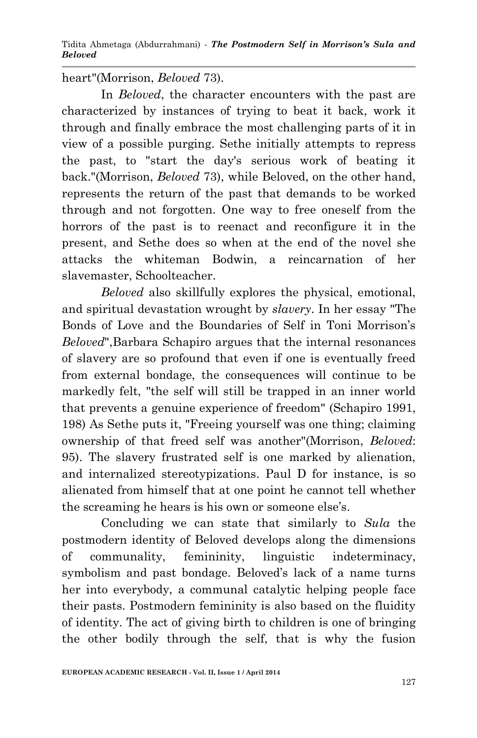heart"(Morrison, *Beloved* 73).

In *Beloved*, the character encounters with the past are characterized by instances of trying to beat it back, work it through and finally embrace the most challenging parts of it in view of a possible purging. Sethe initially attempts to repress the past, to "start the day's serious work of beating it back."(Morrison, *Beloved* 73), while Beloved, on the other hand, represents the return of the past that demands to be worked through and not forgotten. One way to free oneself from the horrors of the past is to reenact and reconfigure it in the present, and Sethe does so when at the end of the novel she attacks the whiteman Bodwin, a reincarnation of her slavemaster, Schoolteacher.

*Beloved* also skillfully explores the physical, emotional, and spiritual devastation wrought by *slavery*. In her essay "The Bonds of Love and the Boundaries of Self in Toni Morrison's *Beloved*",Barbara Schapiro argues that the internal resonances of slavery are so profound that even if one is eventually freed from external bondage, the consequences will continue to be markedly felt, "the self will still be trapped in an inner world that prevents a genuine experience of freedom" (Schapiro 1991, 198) As Sethe puts it, "Freeing yourself was one thing; claiming ownership of that freed self was another"(Morrison, *Beloved*: 95). The slavery frustrated self is one marked by alienation, and internalized stereotypizations. Paul D for instance, is so alienated from himself that at one point he cannot tell whether the screaming he hears is his own or someone else's.

Concluding we can state that similarly to *Sula* the postmodern identity of Beloved develops along the dimensions of communality, femininity, linguistic indeterminacy, symbolism and past bondage. Beloved's lack of a name turns her into everybody, a communal catalytic helping people face their pasts. Postmodern femininity is also based on the fluidity of identity. The act of giving birth to children is one of bringing the other bodily through the self, that is why the fusion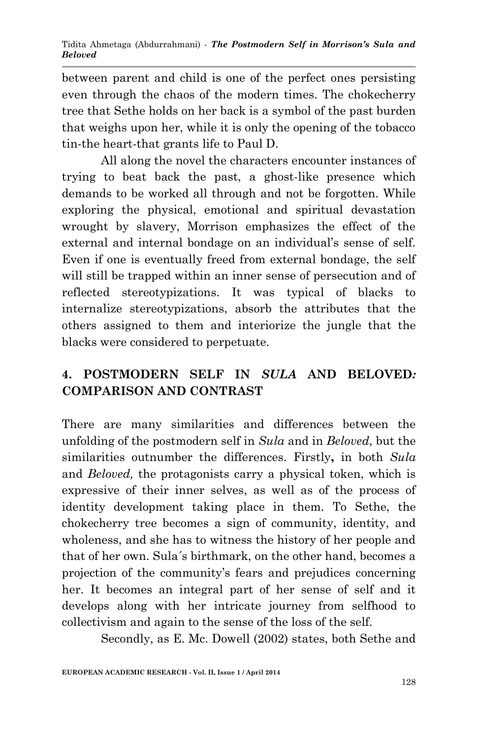between parent and child is one of the perfect ones persisting even through the chaos of the modern times. The chokecherry tree that Sethe holds on her back is a symbol of the past burden that weighs upon her, while it is only the opening of the tobacco tin-the heart-that grants life to Paul D.

All along the novel the characters encounter instances of trying to beat back the past, a ghost-like presence which demands to be worked all through and not be forgotten. While exploring the physical, emotional and spiritual devastation wrought by slavery, Morrison emphasizes the effect of the external and internal bondage on an individual's sense of self. Even if one is eventually freed from external bondage, the self will still be trapped within an inner sense of persecution and of reflected stereotypizations. It was typical of blacks to internalize stereotypizations, absorb the attributes that the others assigned to them and interiorize the jungle that the blacks were considered to perpetuate.

# **4. POSTMODERN SELF IN** *SULA* **AND BELOVED***:*  **COMPARISON AND CONTRAST**

There are many similarities and differences between the unfolding of the postmodern self in *Sula* and in *Beloved*, but the similarities outnumber the differences. Firstly**,** in both *Sula* and *Beloved,* the protagonists carry a physical token, which is expressive of their inner selves, as well as of the process of identity development taking place in them. To Sethe, the chokecherry tree becomes a sign of community, identity, and wholeness, and she has to witness the history of her people and that of her own. Sula´s birthmark, on the other hand, becomes a projection of the community's fears and prejudices concerning her. It becomes an integral part of her sense of self and it develops along with her intricate journey from selfhood to collectivism and again to the sense of the loss of the self.

Secondly, as E. Mc. Dowell (2002) states, both Sethe and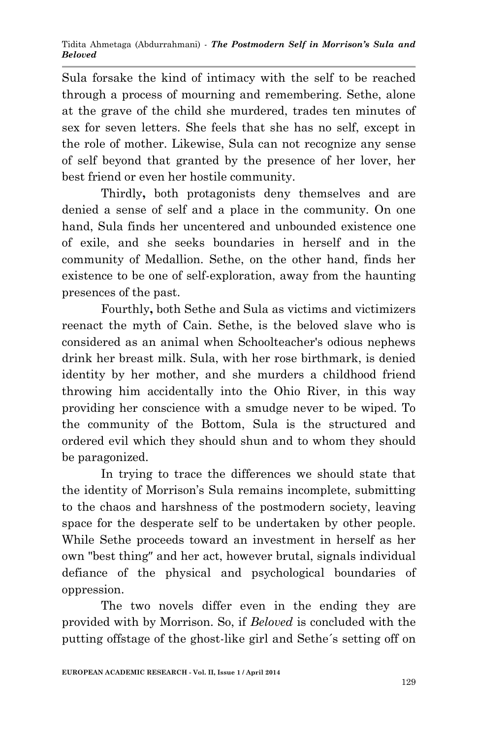Sula forsake the kind of intimacy with the self to be reached through a process of mourning and remembering. Sethe, alone at the grave of the child she murdered, trades ten minutes of sex for seven letters. She feels that she has no self, except in the role of mother. Likewise, Sula can not recognize any sense of self beyond that granted by the presence of her lover, her best friend or even her hostile community.

Thirdly**,** both protagonists deny themselves and are denied a sense of self and a place in the community. On one hand, Sula finds her uncentered and unbounded existence one of exile, and she seeks boundaries in herself and in the community of Medallion. Sethe, on the other hand, finds her existence to be one of self-exploration, away from the haunting presences of the past.

Fourthly**,** both Sethe and Sula as victims and victimizers reenact the myth of Cain. Sethe, is the beloved slave who is considered as an animal when Schoolteacher's odious nephews drink her breast milk. Sula, with her rose birthmark, is denied identity by her mother, and she murders a childhood friend throwing him accidentally into the Ohio River, in this way providing her conscience with a smudge never to be wiped. To the community of the Bottom, Sula is the structured and ordered evil which they should shun and to whom they should be paragonized.

In trying to trace the differences we should state that the identity of Morrison's Sula remains incomplete, submitting to the chaos and harshness of the postmodern society, leaving space for the desperate self to be undertaken by other people. While Sethe proceeds toward an investment in herself as her own "best thing″ and her act, however brutal, signals individual defiance of the physical and psychological boundaries of oppression.

The two novels differ even in the ending they are provided with by Morrison. So, if *Beloved* is concluded with the putting offstage of the ghost-like girl and Sethe´s setting off on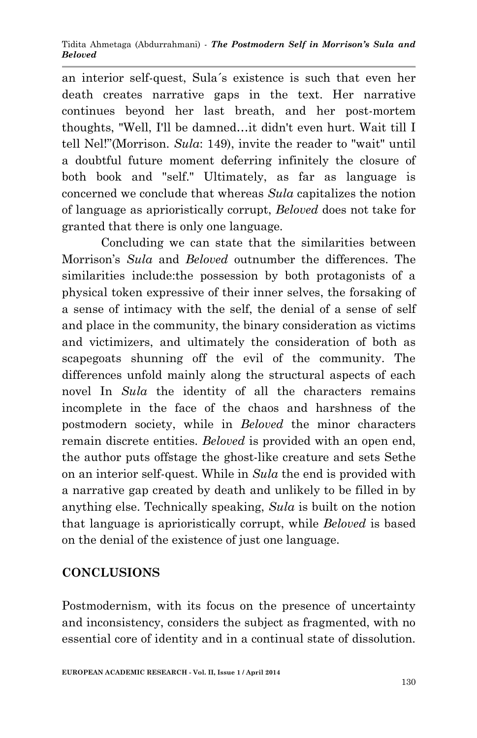#### Tidita Ahmetaga (Abdurrahmani) *- The Postmodern Self in Morrison's Sula and Beloved*

an interior self-quest, Sula´s existence is such that even her death creates narrative gaps in the text. Her narrative continues beyond her last breath, and her post-mortem thoughts, "Well, I'll be damned…it didn't even hurt. Wait till I tell Nel!"(Morrison. *Sula*: 149), invite the reader to "wait" until a doubtful future moment deferring infinitely the closure of both book and "self." Ultimately, as far as language is concerned we conclude that whereas *Sula* capitalizes the notion of language as aprioristically corrupt, *Beloved* does not take for granted that there is only one language.

Concluding we can state that the similarities between Morrison's *Sula* and *Beloved* outnumber the differences. The similarities include:the possession by both protagonists of a physical token expressive of their inner selves, the forsaking of a sense of intimacy with the self, the denial of a sense of self and place in the community, the binary consideration as victims and victimizers, and ultimately the consideration of both as scapegoats shunning off the evil of the community. The differences unfold mainly along the structural aspects of each novel In *Sula* the identity of all the characters remains incomplete in the face of the chaos and harshness of the postmodern society, while in *Beloved* the minor characters remain discrete entities. *Beloved* is provided with an open end, the author puts offstage the ghost-like creature and sets Sethe on an interior self-quest. While in *Sula* the end is provided with a narrative gap created by death and unlikely to be filled in by anything else. Technically speaking, *Sula* is built on the notion that language is aprioristically corrupt, while *Beloved* is based on the denial of the existence of just one language.

## **CONCLUSIONS**

Postmodernism, with its focus on the presence of uncertainty and inconsistency, considers the subject as fragmented, with no essential core of identity and in a continual state of dissolution.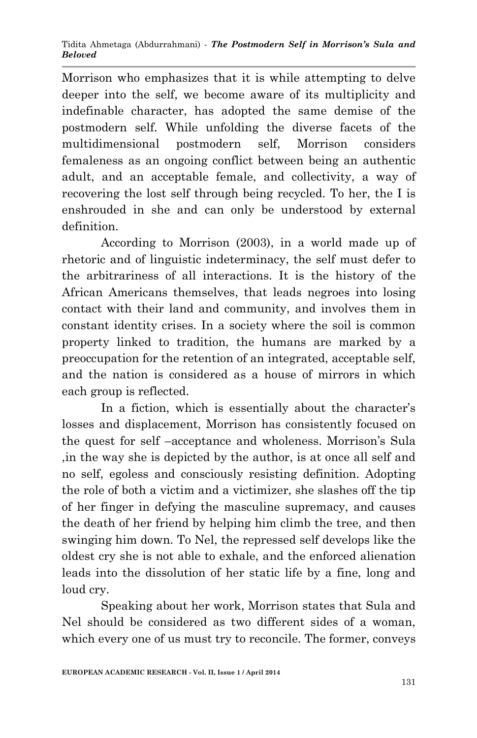Morrison who emphasizes that it is while attempting to delve deeper into the self, we become aware of its multiplicity and indefinable character, has adopted the same demise of the postmodern self. While unfolding the diverse facets of the multidimensional postmodern self, Morrison considers femaleness as an ongoing conflict between being an authentic adult, and an acceptable female, and collectivity, a way of recovering the lost self through being recycled. To her, the I is enshrouded in she and can only be understood by external definition.

According to Morrison (2003), in a world made up of rhetoric and of linguistic indeterminacy, the self must defer to the arbitrariness of all interactions. It is the history of the African Americans themselves, that leads negroes into losing contact with their land and community, and involves them in constant identity crises. In a society where the soil is common property linked to tradition, the humans are marked by a preoccupation for the retention of an integrated, acceptable self, and the nation is considered as a house of mirrors in which each group is reflected.

In a fiction, which is essentially about the character's losses and displacement, Morrison has consistently focused on the quest for self –acceptance and wholeness. Morrison's Sula ,in the way she is depicted by the author, is at once all self and no self, egoless and consciously resisting definition. Adopting the role of both a victim and a victimizer, she slashes off the tip of her finger in defying the masculine supremacy, and causes the death of her friend by helping him climb the tree, and then swinging him down. To Nel, the repressed self develops like the oldest cry she is not able to exhale, and the enforced alienation leads into the dissolution of her static life by a fine, long and loud cry.

Speaking about her work, Morrison states that Sula and Nel should be considered as two different sides of a woman, which every one of us must try to reconcile. The former, conveys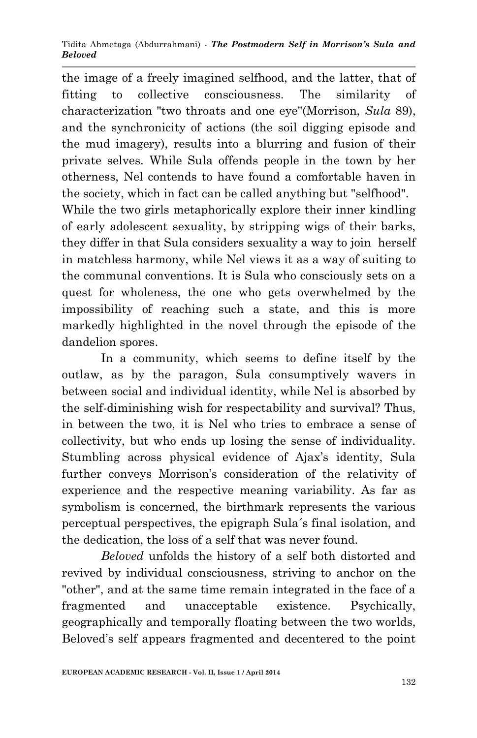the image of a freely imagined selfhood, and the latter, that of fitting to collective consciousness. The similarity of characterization "two throats and one eye"(Morrison, *Sula* 89), and the synchronicity of actions (the soil digging episode and the mud imagery), results into a blurring and fusion of their private selves. While Sula offends people in the town by her otherness, Nel contends to have found a comfortable haven in the society, which in fact can be called anything but "selfhood". While the two girls metaphorically explore their inner kindling of early adolescent sexuality, by stripping wigs of their barks, they differ in that Sula considers sexuality a way to join herself in matchless harmony, while Nel views it as a way of suiting to the communal conventions. It is Sula who consciously sets on a quest for wholeness, the one who gets overwhelmed by the impossibility of reaching such a state, and this is more markedly highlighted in the novel through the episode of the dandelion spores.

In a community, which seems to define itself by the outlaw, as by the paragon, Sula consumptively wavers in between social and individual identity, while Nel is absorbed by the self-diminishing wish for respectability and survival? Thus, in between the two, it is Nel who tries to embrace a sense of collectivity, but who ends up losing the sense of individuality. Stumbling across physical evidence of Ajax's identity, Sula further conveys Morrison's consideration of the relativity of experience and the respective meaning variability. As far as symbolism is concerned, the birthmark represents the various perceptual perspectives, the epigraph Sula´s final isolation, and the dedication, the loss of a self that was never found.

*Beloved* unfolds the history of a self both distorted and revived by individual consciousness, striving to anchor on the "other", and at the same time remain integrated in the face of a fragmented and unacceptable existence. Psychically, geographically and temporally floating between the two worlds, Beloved's self appears fragmented and decentered to the point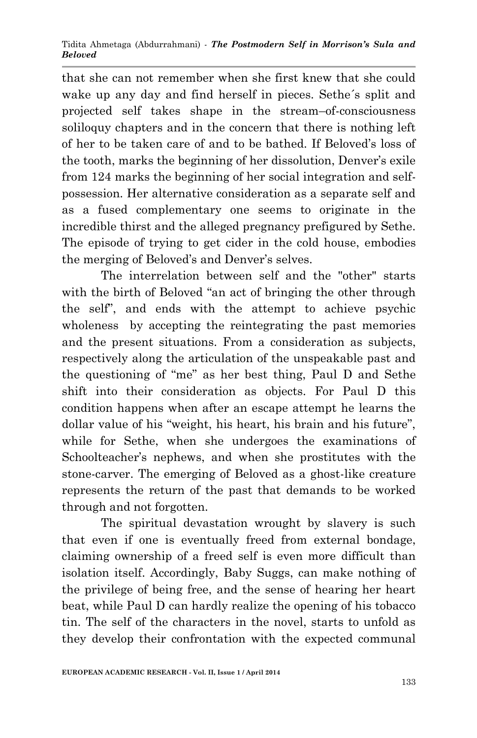that she can not remember when she first knew that she could wake up any day and find herself in pieces. Sethe´s split and projected self takes shape in the stream–of-consciousness soliloquy chapters and in the concern that there is nothing left of her to be taken care of and to be bathed. If Beloved's loss of the tooth, marks the beginning of her dissolution, Denver's exile from 124 marks the beginning of her social integration and selfpossession. Her alternative consideration as a separate self and as a fused complementary one seems to originate in the incredible thirst and the alleged pregnancy prefigured by Sethe. The episode of trying to get cider in the cold house, embodies the merging of Beloved's and Denver's selves.

The interrelation between self and the "other" starts with the birth of Beloved "an act of bringing the other through the self", and ends with the attempt to achieve psychic wholeness by accepting the reintegrating the past memories and the present situations. From a consideration as subjects, respectively along the articulation of the unspeakable past and the questioning of "me" as her best thing, Paul D and Sethe shift into their consideration as objects. For Paul D this condition happens when after an escape attempt he learns the dollar value of his "weight, his heart, his brain and his future", while for Sethe, when she undergoes the examinations of Schoolteacher's nephews, and when she prostitutes with the stone-carver. The emerging of Beloved as a ghost-like creature represents the return of the past that demands to be worked through and not forgotten.

The spiritual devastation wrought by slavery is such that even if one is eventually freed from external bondage, claiming ownership of a freed self is even more difficult than isolation itself. Accordingly, Baby Suggs, can make nothing of the privilege of being free, and the sense of hearing her heart beat, while Paul D can hardly realize the opening of his tobacco tin. The self of the characters in the novel, starts to unfold as they develop their confrontation with the expected communal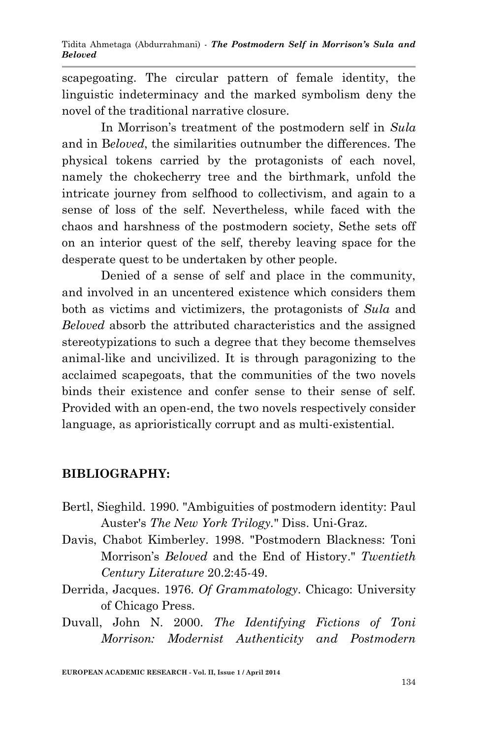scapegoating. The circular pattern of female identity, the linguistic indeterminacy and the marked symbolism deny the novel of the traditional narrative closure.

In Morrison's treatment of the postmodern self in *Sula*  and in B*eloved*, the similarities outnumber the differences. The physical tokens carried by the protagonists of each novel, namely the chokecherry tree and the birthmark, unfold the intricate journey from selfhood to collectivism, and again to a sense of loss of the self. Nevertheless, while faced with the chaos and harshness of the postmodern society, Sethe sets off on an interior quest of the self, thereby leaving space for the desperate quest to be undertaken by other people.

Denied of a sense of self and place in the community, and involved in an uncentered existence which considers them both as victims and victimizers, the protagonists of *Sula* and *Beloved* absorb the attributed characteristics and the assigned stereotypizations to such a degree that they become themselves animal-like and uncivilized. It is through paragonizing to the acclaimed scapegoats, that the communities of the two novels binds their existence and confer sense to their sense of self. Provided with an open-end, the two novels respectively consider language, as aprioristically corrupt and as multi-existential.

## **BIBLIOGRAPHY:**

- Bertl, Sieghild. 1990. "Ambiguities of postmodern identity: Paul Auster's *The New York Trilogy.*" Diss. Uni-Graz.
- Davis, Chabot Kimberley. 1998. "Postmodern Blackness: Toni Morrison's *Beloved* and the End of History." *Twentieth Century Literature* 20.2:45-49.
- Derrida, Jacques. 1976. *Of Grammatology*. Chicago: University of Chicago Press.
- Duvall, John N. 2000. *The Identifying Fictions of Toni Morrison: Modernist Authenticity and Postmodern*

**EUROPEAN ACADEMIC RESEARCH - Vol. II, Issue 1 / April 2014**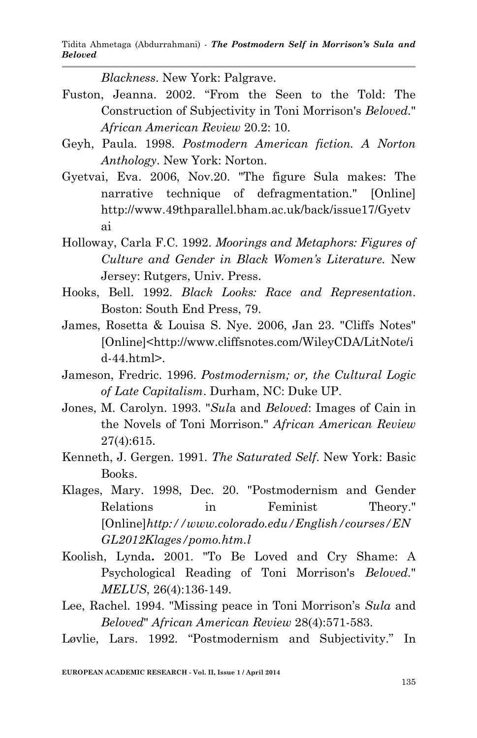*Blackness*. New York: Palgrave.

- Fuston, Jeanna. 2002. "From the Seen to the Told: The Construction of Subjectivity in Toni Morrison's *Beloved.*" *African American Review* 20.2: 10.
- Geyh, Paula*.* 1998. *Postmodern American fiction. A Norton Anthology*. New York: Norton.
- Gyetvai, Eva. 2006, Nov.20. "The figure Sula makes: The narrative technique of defragmentation." [Online] http://www.49thparallel.bham.ac.uk/back/issue17/Gyetv ai
- Holloway, Carla F.C. 1992. *Moorings and Metaphors: Figures of Culture and Gender in Black Women's Literature.* New Jersey: Rutgers, Univ. Press.
- Hooks, Bell. 1992. *Black Looks: Race and Representation*. Boston: South End Press, 79.
- James, Rosetta & Louisa S. Nye. 2006, Jan 23. "Cliffs Notes" [Online]<http://www.cliffsnotes.com/WileyCDA/LitNote/i d-44.html>.
- Jameson, Fredric. 1996. *Postmodernism; or, the Cultural Logic of Late Capitalism*. Durham, NC: Duke UP.
- Jones, M. Carolyn. 1993. "*Sul*a and *Beloved*: Images of Cain in the Novels of Toni Morrison." *African American Review* 27(4):615.
- Kenneth, J. Gergen. 1991. *The Saturated Self*. New York: Basic Books.
- Klages, Mary. 1998, Dec. 20. "Postmodernism and Gender Relations in Feminist Theory." [Online]*http://www.colorado.edu/English/courses/EN GL2012Klages/pomo.htm.l*
- Koolish, Lynda**.** 2001. "To Be Loved and Cry Shame: A Psychological Reading of Toni Morrison's *Beloved.*" *MELUS*, 26(4):136-149.
- Lee, Rachel. 1994. "Missing peace in Toni Morrison's *Sula* and *Beloved*" *African American Review* 28(4):571-583.
- Løvlie, Lars. 1992. "Postmodernism and Subjectivity." In